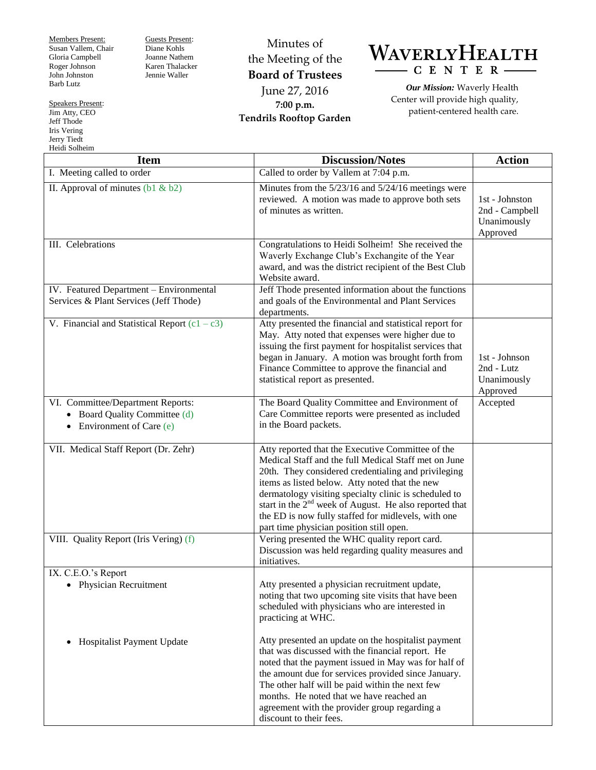Members Present: Susan Vallem, Chair Gloria Campbell Roger Johnson John Johnston Barb Lutz

Guests Present: Diane Kohls Joanne Nathem Karen Thalacker Jennie Waller

Minutes of the Meeting of the **Board of Trustees** June 27, 2016 **7:00 p.m. Tendrils Rooftop Garden**

WAVERLYHEALTH  $-C E N T E R -$ 

*Our Mission:* Waverly Health Center will provide high quality, patient-centered health care.

| <b>Item</b>                                                                                                | <b>Discussion/Notes</b>                                                                                                                                                                                                                                                                                                                                                                                                                    | <b>Action</b>                                               |
|------------------------------------------------------------------------------------------------------------|--------------------------------------------------------------------------------------------------------------------------------------------------------------------------------------------------------------------------------------------------------------------------------------------------------------------------------------------------------------------------------------------------------------------------------------------|-------------------------------------------------------------|
| I. Meeting called to order                                                                                 | Called to order by Vallem at 7:04 p.m.                                                                                                                                                                                                                                                                                                                                                                                                     |                                                             |
| II. Approval of minutes $(b1 \& b2)$                                                                       | Minutes from the 5/23/16 and 5/24/16 meetings were<br>reviewed. A motion was made to approve both sets<br>of minutes as written.                                                                                                                                                                                                                                                                                                           | 1st - Johnston<br>2nd - Campbell<br>Unanimously<br>Approved |
| III. Celebrations                                                                                          | Congratulations to Heidi Solheim! She received the<br>Waverly Exchange Club's Exchangite of the Year<br>award, and was the district recipient of the Best Club<br>Website award.                                                                                                                                                                                                                                                           |                                                             |
| IV. Featured Department - Environmental<br>Services & Plant Services (Jeff Thode)                          | Jeff Thode presented information about the functions<br>and goals of the Environmental and Plant Services<br>departments.                                                                                                                                                                                                                                                                                                                  |                                                             |
| V. Financial and Statistical Report $(c1 - c3)$                                                            | Atty presented the financial and statistical report for<br>May. Atty noted that expenses were higher due to<br>issuing the first payment for hospitalist services that<br>began in January. A motion was brought forth from<br>Finance Committee to approve the financial and<br>statistical report as presented.                                                                                                                          | 1st - Johnson<br>2nd - Lutz<br>Unanimously<br>Approved      |
| VI. Committee/Department Reports:<br>• Board Quality Committee (d)<br>Environment of Care (e)<br>$\bullet$ | The Board Quality Committee and Environment of<br>Care Committee reports were presented as included<br>in the Board packets.                                                                                                                                                                                                                                                                                                               | Accepted                                                    |
| VII. Medical Staff Report (Dr. Zehr)                                                                       | Atty reported that the Executive Committee of the<br>Medical Staff and the full Medical Staff met on June<br>20th. They considered credentialing and privileging<br>items as listed below. Atty noted that the new<br>dermatology visiting specialty clinic is scheduled to<br>start in the $2nd$ week of August. He also reported that<br>the ED is now fully staffed for midlevels, with one<br>part time physician position still open. |                                                             |
| VIII. Quality Report (Iris Vering) (f)                                                                     | Vering presented the WHC quality report card.<br>Discussion was held regarding quality measures and<br>initiatives.                                                                                                                                                                                                                                                                                                                        |                                                             |
| IX. C.E.O.'s Report<br>• Physician Recruitment                                                             | Atty presented a physician recruitment update,<br>noting that two upcoming site visits that have been<br>scheduled with physicians who are interested in<br>practicing at WHC.                                                                                                                                                                                                                                                             |                                                             |
| Hospitalist Payment Update<br>$\bullet$                                                                    | Atty presented an update on the hospitalist payment<br>that was discussed with the financial report. He<br>noted that the payment issued in May was for half of<br>the amount due for services provided since January.<br>The other half will be paid within the next few<br>months. He noted that we have reached an<br>agreement with the provider group regarding a<br>discount to their fees.                                          |                                                             |

Speakers Present: Jim Atty, CEO Jeff Thode Iris Vering Jerry Tiedt Heidi Solheim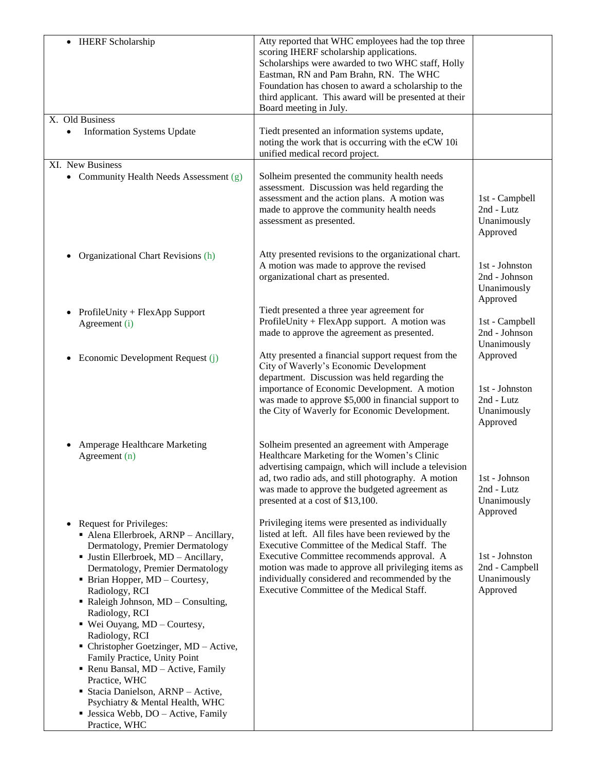| <b>IHERF</b> Scholarship                                                                                                                                                                                                                                                                                                                                                                                                                                                                                                                                                                                                                         | Atty reported that WHC employees had the top three<br>scoring IHERF scholarship applications.<br>Scholarships were awarded to two WHC staff, Holly<br>Eastman, RN and Pam Brahn, RN. The WHC<br>Foundation has chosen to award a scholarship to the<br>third applicant. This award will be presented at their<br>Board meeting in July.                      |                                                                     |
|--------------------------------------------------------------------------------------------------------------------------------------------------------------------------------------------------------------------------------------------------------------------------------------------------------------------------------------------------------------------------------------------------------------------------------------------------------------------------------------------------------------------------------------------------------------------------------------------------------------------------------------------------|--------------------------------------------------------------------------------------------------------------------------------------------------------------------------------------------------------------------------------------------------------------------------------------------------------------------------------------------------------------|---------------------------------------------------------------------|
| X. Old Business                                                                                                                                                                                                                                                                                                                                                                                                                                                                                                                                                                                                                                  |                                                                                                                                                                                                                                                                                                                                                              |                                                                     |
| <b>Information Systems Update</b>                                                                                                                                                                                                                                                                                                                                                                                                                                                                                                                                                                                                                | Tiedt presented an information systems update,<br>noting the work that is occurring with the eCW 10i<br>unified medical record project.                                                                                                                                                                                                                      |                                                                     |
| XI. New Business                                                                                                                                                                                                                                                                                                                                                                                                                                                                                                                                                                                                                                 |                                                                                                                                                                                                                                                                                                                                                              |                                                                     |
| • Community Health Needs Assessment (g)                                                                                                                                                                                                                                                                                                                                                                                                                                                                                                                                                                                                          | Solheim presented the community health needs<br>assessment. Discussion was held regarding the<br>assessment and the action plans. A motion was<br>made to approve the community health needs<br>assessment as presented.                                                                                                                                     | 1st - Campbell<br>2nd - Lutz<br>Unanimously<br>Approved             |
| Organizational Chart Revisions (h)                                                                                                                                                                                                                                                                                                                                                                                                                                                                                                                                                                                                               | Atty presented revisions to the organizational chart.<br>A motion was made to approve the revised<br>organizational chart as presented.                                                                                                                                                                                                                      | 1st - Johnston<br>2nd - Johnson<br>Unanimously<br>Approved          |
| ProfileUnity + FlexApp Support<br>Agreement (i)                                                                                                                                                                                                                                                                                                                                                                                                                                                                                                                                                                                                  | Tiedt presented a three year agreement for<br>ProfileUnity + FlexApp support. A motion was<br>made to approve the agreement as presented.                                                                                                                                                                                                                    | 1st - Campbell<br>2nd - Johnson<br>Unanimously                      |
| Economic Development Request (j)                                                                                                                                                                                                                                                                                                                                                                                                                                                                                                                                                                                                                 | Atty presented a financial support request from the<br>City of Waverly's Economic Development<br>department. Discussion was held regarding the<br>importance of Economic Development. A motion<br>was made to approve \$5,000 in financial support to<br>the City of Waverly for Economic Development.                                                       | Approved<br>1st - Johnston<br>2nd - Lutz<br>Unanimously<br>Approved |
| Amperage Healthcare Marketing<br>Agreement (n)                                                                                                                                                                                                                                                                                                                                                                                                                                                                                                                                                                                                   | Solheim presented an agreement with Amperage<br>Healthcare Marketing for the Women's Clinic<br>advertising campaign, which will include a television<br>ad, two radio ads, and still photography. A motion<br>was made to approve the budgeted agreement as<br>presented at a cost of \$13,100.                                                              | 1st - Johnson<br>2nd - Lutz<br>Unanimously<br>Approved              |
| Request for Privileges:<br>$\bullet$<br>• Alena Ellerbroek, ARNP - Ancillary,<br>Dermatology, Premier Dermatology<br>· Justin Ellerbroek, MD - Ancillary,<br>Dermatology, Premier Dermatology<br>• Brian Hopper, MD - Courtesy,<br>Radiology, RCI<br>• Raleigh Johnson, $MD$ – Consulting,<br>Radiology, RCI<br>$\blacksquare$ Wei Ouyang, MD – Courtesy,<br>Radiology, RCI<br>• Christopher Goetzinger, MD - Active,<br>Family Practice, Unity Point<br>Renu Bansal, MD - Active, Family<br>Practice, WHC<br>• Stacia Danielson, ARNP - Active,<br>Psychiatry & Mental Health, WHC<br><b>Jessica Webb, DO</b> – Active, Family<br>Practice, WHC | Privileging items were presented as individually<br>listed at left. All files have been reviewed by the<br>Executive Committee of the Medical Staff. The<br>Executive Committee recommends approval. A<br>motion was made to approve all privileging items as<br>individually considered and recommended by the<br>Executive Committee of the Medical Staff. | 1st - Johnston<br>2nd - Campbell<br>Unanimously<br>Approved         |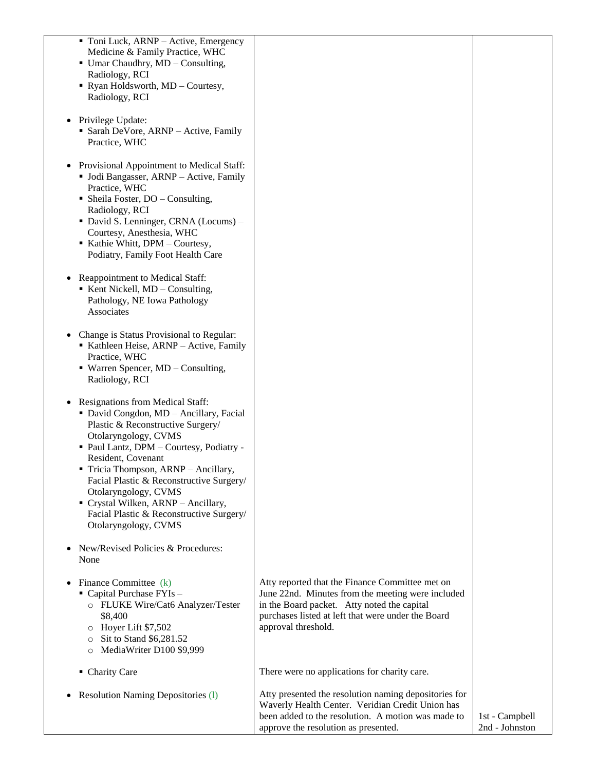| • Toni Luck, ARNP – Active, Emergency<br>Medicine & Family Practice, WHC<br>• Umar Chaudhry, MD - Consulting,<br>Radiology, RCI<br>Ryan Holdsworth, MD - Courtesy,<br>Radiology, RCI                                                                                                                                                                                                                                        |                                                                                                                                                                                                                                  |                                  |
|-----------------------------------------------------------------------------------------------------------------------------------------------------------------------------------------------------------------------------------------------------------------------------------------------------------------------------------------------------------------------------------------------------------------------------|----------------------------------------------------------------------------------------------------------------------------------------------------------------------------------------------------------------------------------|----------------------------------|
| Privilege Update:<br>• Sarah DeVore, ARNP - Active, Family<br>Practice, WHC                                                                                                                                                                                                                                                                                                                                                 |                                                                                                                                                                                                                                  |                                  |
| Provisional Appointment to Medical Staff:<br>• Jodi Bangasser, ARNP - Active, Family<br>Practice, WHC<br>• Sheila Foster, $DO - Consulting$ ,<br>Radiology, RCI<br>• David S. Lenninger, CRNA (Locums) –<br>Courtesy, Anesthesia, WHC<br>Kathie Whitt, DPM - Courtesy,<br>Podiatry, Family Foot Health Care                                                                                                                 |                                                                                                                                                                                                                                  |                                  |
| Reappointment to Medical Staff:<br>Kent Nickell, MD - Consulting,<br>Pathology, NE Iowa Pathology<br>Associates                                                                                                                                                                                                                                                                                                             |                                                                                                                                                                                                                                  |                                  |
| Change is Status Provisional to Regular:<br>Kathleen Heise, ARNP - Active, Family<br>Practice, WHC<br>• Warren Spencer, MD - Consulting,<br>Radiology, RCI                                                                                                                                                                                                                                                                  |                                                                                                                                                                                                                                  |                                  |
| Resignations from Medical Staff:<br>• David Congdon, MD - Ancillary, Facial<br>Plastic & Reconstructive Surgery/<br>Otolaryngology, CVMS<br>Paul Lantz, DPM - Courtesy, Podiatry -<br>Resident, Covenant<br>Tricia Thompson, ARNP - Ancillary,<br>Facial Plastic & Reconstructive Surgery/<br>Otolaryngology, CVMS<br>Crystal Wilken, ARNP - Ancillary,<br>Facial Plastic & Reconstructive Surgery/<br>Otolaryngology, CVMS |                                                                                                                                                                                                                                  |                                  |
| New/Revised Policies & Procedures:<br>None                                                                                                                                                                                                                                                                                                                                                                                  |                                                                                                                                                                                                                                  |                                  |
| Finance Committee (k)<br>• Capital Purchase FYIs -<br>o FLUKE Wire/Cat6 Analyzer/Tester<br>\$8,400<br>Hoyer Lift \$7,502<br>$\circ$<br>Sit to Stand \$6,281.52<br>O<br>MediaWriter D100 \$9,999                                                                                                                                                                                                                             | Atty reported that the Finance Committee met on<br>June 22nd. Minutes from the meeting were included<br>in the Board packet. Atty noted the capital<br>purchases listed at left that were under the Board<br>approval threshold. |                                  |
| • Charity Care                                                                                                                                                                                                                                                                                                                                                                                                              | There were no applications for charity care.                                                                                                                                                                                     |                                  |
| <b>Resolution Naming Depositories (1)</b>                                                                                                                                                                                                                                                                                                                                                                                   | Atty presented the resolution naming depositories for<br>Waverly Health Center. Veridian Credit Union has<br>been added to the resolution. A motion was made to<br>approve the resolution as presented.                          | 1st - Campbell<br>2nd - Johnston |